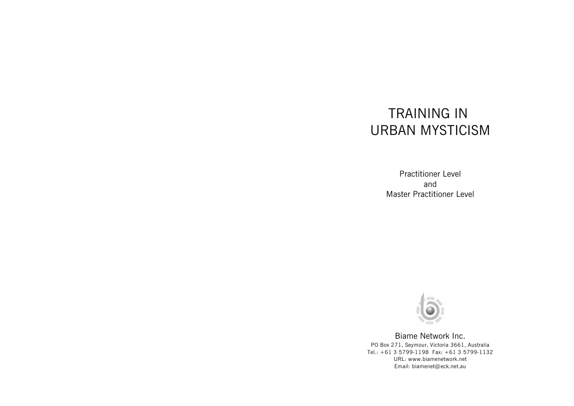# TRAINING IN URBAN MYSTICISM

Practitioner Level and Master Practitioner Level



Biame Network Inc. PO Box 271, Seymour, Victoria 3661, Australia Tel.: +61 3 5799-1198 Fax: +61 3 5799-1132 URL: www.biamenetwork.net Email: biamenet@eck.net.au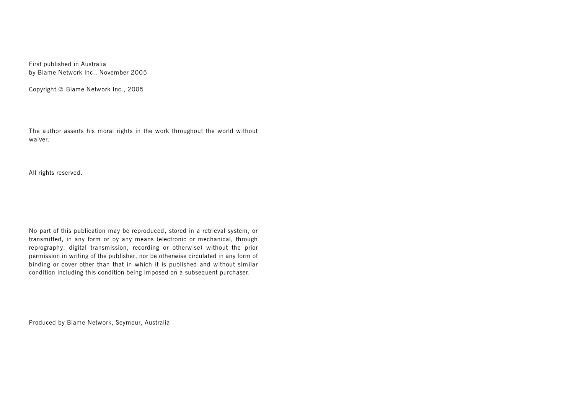First published in Australia by Biame Network Inc., November 2005

Copyright © Biame Network Inc., 2005

The author asserts his moral rights in the work throughout the world without waiver.

All rights reserved.

No part of this publication may be reproduced, stored in a retrieval system, or transmitted, in any form or by any means (electronic or mechanical, through reprography, digital transmission, recording or otherwise) without the prior permission in writing of the publisher, nor be otherwise circulated in any form of binding or cover other than that in which it is published and without similar condition including this condition being imposed on a subsequent purchaser.

Produced by Biame Network, Seymour, Australia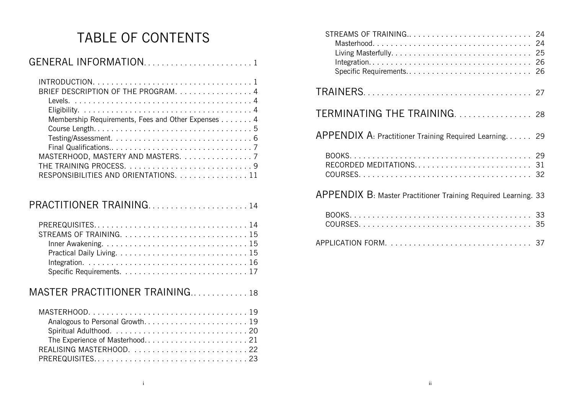# TABLE OF CONTENTS

| GENERAL INFORMATION1 |  |
|----------------------|--|
|                      |  |

| BRIEF DESCRIPTION OF THE PROGRAM. 4                                                    |  |
|----------------------------------------------------------------------------------------|--|
|                                                                                        |  |
|                                                                                        |  |
| Membership Requirements, Fees and Other Expenses 4                                     |  |
|                                                                                        |  |
| $Testing/Assessment. \ldots \ldots \ldots \ldots \ldots \ldots \ldots \ldots \ldots 6$ |  |
|                                                                                        |  |
| MASTERHOOD, MASTERY AND MASTERS. 7                                                     |  |
|                                                                                        |  |
| RESPONSIBILITIES AND ORIENTATIONS. 11                                                  |  |
|                                                                                        |  |

# PRACTITIONER TRAINING. ..................... 14

| Inner Awakening. $\ldots \ldots \ldots \ldots \ldots \ldots \ldots \ldots \ldots \ldots \ldots 15$ |
|----------------------------------------------------------------------------------------------------|
|                                                                                                    |
|                                                                                                    |
|                                                                                                    |

# MASTER PRACTITIONER TRAINING.............. 18

| Analogous to Personal Growth 19 |
|---------------------------------|
|                                 |
|                                 |
| REALISING MASTERHOOD. 22        |
|                                 |

| STREAMS OF TRAINING 24<br>Specific Requirements 26             |  |
|----------------------------------------------------------------|--|
|                                                                |  |
| TERMINATING THE TRAINING 28                                    |  |
| APPENDIX A: Practitioner Training Required Learning 29         |  |
| RECORDED MEDITATIONS 31                                        |  |
| APPENDIX B: Master Practitioner Training Required Learning. 33 |  |
|                                                                |  |
|                                                                |  |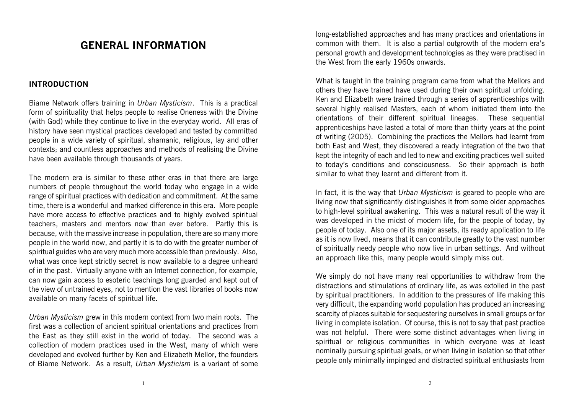# **GENERAL INFORMATION**

#### **INTRODUCTION**

Biame Network offers training in *Urban Mysticism*. This is a practical form of spirituality that helps people to realise Oneness with the Divine (with God) while they continue to live in the everyday world. All eras of history have seen mystical practices developed and tested by committed people in a wide variety of spiritual, shamanic, religious, lay and other contexts; and countless approaches and methods of realising the Divine have been available through thousands of years.

The modern era is similar to these other eras in that there are large numbers of people throughout the world today who engage in a wide range of spiritual practices with dedication and commitment. At the same time, there is a wonderful and marked difference in this era. More people have more access to effective practices and to highly evolved spiritual teachers, masters and mentors now than ever before. Partly this is because, with the massive increase in population, there are so many more people in the world now, and partly it is to do with the greater number of spiritual guides who are very much more accessible than previously. Also, what was once kept strictly secret is now available to a degree unheard of in the past. Virtually anyone with an Internet connection, for example, can now gain access to esoteric teachings long guarded and kept out of the view of untrained eyes, not to mention the vast libraries of books now available on many facets of spiritual life.

*Urban Mysticism* grew in this modern context from two main roots. The first was a collection of ancient spiritual orientations and practices from the East as they still exist in the world of today. The second was a collection of modern practices used in the West, many of which were developed and evolved further by Ken and Elizabeth Mellor, the founders of Biame Network. As a result, *Urban Mysticism* is a variant of some long-established approaches and has many practices and orientations in common with them. It is also a partial outgrowth of the modern era's personal growth and development technologies as they were practised in the West from the early 1960s onwards.

What is taught in the training program came from what the Mellors and others they have trained have used during their own spiritual unfolding. Ken and Elizabeth were trained through a series of apprenticeships with several highly realised Masters, each of whom initiated them into the orientations of their different spiritual lineages. These sequential apprenticeships have lasted a total of more than thirty years at the point of writing (2005). Combining the practices the Mellors had learnt from both East and West, they discovered a ready integration of the two that kept the integrity of each and led to new and exciting practices well suited to today's conditions and consciousness. So their approach is both similar to what they learnt and different from it.

In fact, it is the way that *Urban Mysticism* is geared to people who are living now that significantly distinguishes it from some older approaches to high-level spiritual awakening. This was a natural result of the way it was developed in the midst of modern life, for the people of today, by people of today. Also one of its major assets, its ready application to life as it is now lived, means that it can contribute greatly to the vast number of spiritually needy people who now live in urban settings. And without an approach like this, many people would simply miss out.

We simply do not have many real opportunities to withdraw from the distractions and stimulations of ordinary life, as was extolled in the past by spiritual practitioners. In addition to the pressures of life making this very difficult, the expanding world population has produced an increasing scarcity of places suitable for sequestering ourselves in small groups or for living in complete isolation. Of course, this is not to say that past practice was not helpful. There were some distinct advantages when living in spiritual or religious communities in which everyone was at least nominally pursuing spiritual goals, or when living in isolation so that other people only minimally impinged and distracted spiritual enthusiasts from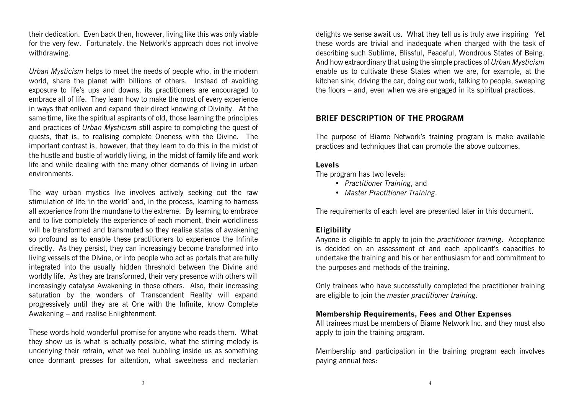their dedication. Even back then, however, living like this was only viable for the very few. Fortunately, the Network's approach does not involve withdrawing.

*Urban Mysticism* helps to meet the needs of people who, in the modern world, share the planet with billions of others. Instead of avoiding exposure to life's ups and downs, its practitioners are encouraged to embrace all of life. They learn how to make the most of every experience in ways that enliven and expand their direct knowing of Divinity. At the same time, like the spiritual aspirants of old, those learning the principles and practices of *Urban Mysticism* still aspire to completing the quest of quests, that is, to realising complete Oneness with the Divine. The important contrast is, however, that they learn to do this in the midst of the hustle and bustle of worldly living, in the midst of family life and work life and while dealing with the many other demands of living in urban environments.

The way urban mystics live involves actively seeking out the raw stimulation of life 'in the world' and, in the process, learning to harness all experience from the mundane to the extreme. By learning to embrace and to live completely the experience of each moment, their worldliness will be transformed and transmuted so they realise states of awakening so profound as to enable these practitioners to experience the Infinite directly. As they persist, they can increasingly become transformed into living vessels of the Divine, or into people who act as portals that are fully integrated into the usually hidden threshold between the Divine and worldly life. As they are transformed, their very presence with others will increasingly catalyse Awakening in those others. Also, their increasing saturation by the wonders of Transcendent Reality will expand progressively until they are at One with the Infinite, know Complete Awakening – and realise Enlightenment.

These words hold wonderful promise for anyone who reads them. What they show us is what is actually possible, what the stirring melody is underlying their refrain, what we feel bubbling inside us as something once dormant presses for attention, what sweetness and nectarian

delights we sense await us. What they tell us is truly awe inspiring Yet these words are trivial and inadequate when charged with the task of describing such Sublime, Blissful, Peaceful, Wondrous States of Being. And how extraordinary that using the simple practices of *Urban Mysticism* enable us to cultivate these States when we are, for example, at the kitchen sink, driving the car, doing our work, talking to people, sweeping the floors – and, even when we are engaged in its spiritual practices.

#### **BRIEF DESCRIPTION OF THE PROGRAM**

The purpose of Biame Network's training program is make available practices and techniques that can promote the above outcomes.

#### **Levels**

The program has two levels:

- *Practitioner Training*, and
- *Master Practitioner Training*.

The requirements of each level are presented later in this document.

#### **Eligibility**

Anyone is eligible to apply to join the *practitioner training*. Acceptance is decided on an assessment of and each applicant's capacities to undertake the training and his or her enthusiasm for and commitment to the purposes and methods of the training.

Only trainees who have successfully completed the practitioner training are eligible to join the *master practitioner training*.

#### **Membership Requirements, Fees and Other Expenses**

All trainees must be members of Biame Network Inc. and they must also apply to join the training program.

Membership and participation in the training program each involves paying annual fees: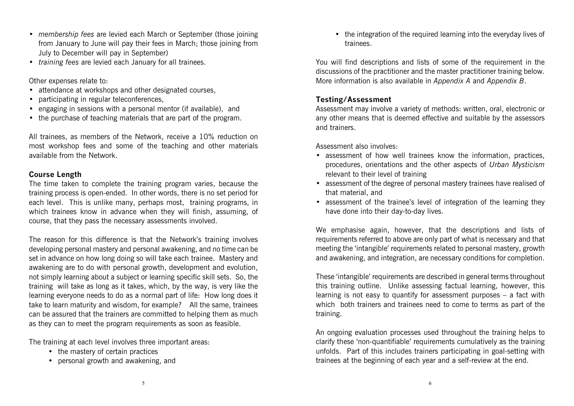- *membership fees* are levied each March or September (those joining from January to June will pay their fees in March; those joining from July to December will pay in September)
- *training fees* are levied each January for all trainees.

Other expenses relate to:

- attendance at workshops and other designated courses,
- participating in regular teleconferences,
- engaging in sessions with a personal mentor (if available), and
- the purchase of teaching materials that are part of the program.

All trainees, as members of the Network, receive a 10% reduction on most workshop fees and some of the teaching and other materials available from the Network.

#### **Course Length**

The time taken to complete the training program varies, because the training process is open-ended. In other words, there is no set period for each level. This is unlike many, perhaps most, training programs, in which trainees know in advance when they will finish, assuming, of course, that they pass the necessary assessments involved.

The reason for this difference is that the Network's training involves developing personal mastery and personal awakening, and no time can be set in advance on how long doing so will take each trainee. Mastery and awakening are to do with personal growth, development and evolution, not simply learning about a subject or learning specific skill sets. So, the training will take as long as it takes, which, by the way, is very like the learning everyone needs to do as a normal part of life: How long does it take to learn maturity and wisdom, for example? All the same, trainees can be assured that the trainers are committed to helping them as much as they can to meet the program requirements as soon as feasible.

The training at each level involves three important areas:

- the mastery of certain practices
- personal growth and awakening, and

• the integration of the required learning into the everyday lives of trainees.

You will find descriptions and lists of some of the requirement in the discussions of the practitioner and the master practitioner training below. More information is also available in *Appendix A* and *Appendix B*.

#### **Testing/Assessment**

Assessment may involve a variety of methods: written, oral, electronic or any other means that is deemed effective and suitable by the assessors and trainers.

Assessment also involves:

- assessment of how well trainees know the information, practices, procedures, orientations and the other aspects of *Urban Mysticism* relevant to their level of training
- assessment of the degree of personal mastery trainees have realised of that material, and
- assessment of the trainee's level of integration of the learning they have done into their day-to-day lives.

We emphasise again, however, that the descriptions and lists of requirements referred to above are only part of what is necessary and that meeting the 'intangible' requirements related to personal mastery, growth and awakening, and integration, are necessary conditions for completion.

These 'intangible' requirements are described in general terms throughout this training outline. Unlike assessing factual learning, however, this learning is not easy to quantify for assessment purposes – a fact with which both trainers and trainees need to come to terms as part of the training.

An ongoing evaluation processes used throughout the training helps to clarify these 'non-quantifiable' requirements cumulatively as the training unfolds. Part of this includes trainers participating in goal-setting with trainees at the beginning of each year and a self-review at the end.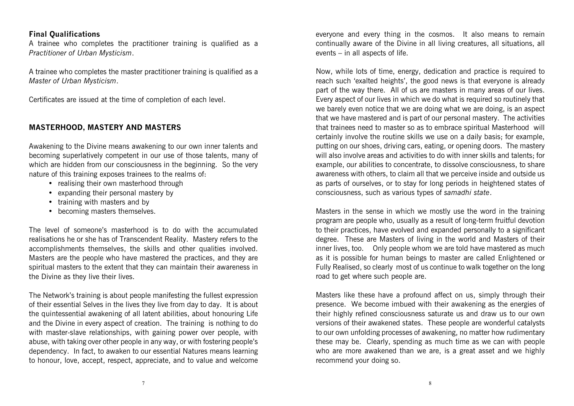#### **Final Qualifications**

A trainee who completes the practitioner training is qualified as a *Practitioner of Urban Mysticism*.

A trainee who completes the master practitioner training is qualified as a *Master of Urban Mysticism*.

Certificates are issued at the time of completion of each level.

#### **MASTERHOOD, MASTERY AND MASTERS**

Awakening to the Divine means awakening to our own inner talents and becoming superlatively competent in our use of those talents, many of which are hidden from our consciousness in the beginning. So the very nature of this training exposes trainees to the realms of:

- realising their own masterhood through
- expanding their personal mastery by
- training with masters and by
- becoming masters themselves.

The level of someone's masterhood is to do with the accumulated realisations he or she has of Transcendent Reality. Mastery refers to the accomplishments themselves, the skills and other qualities involved. Masters are the people who have mastered the practices, and they are spiritual masters to the extent that they can maintain their awareness in the Divine as they live their lives.

The Network's training is about people manifesting the fullest expression of their essential Selves in the lives they live from day to day. It is about the quintessential awakening of all latent abilities, about honouring Life and the Divine in every aspect of creation. The training is nothing to do with master-slave relationships, with gaining power over people, with abuse, with taking over other people in any way, or with fostering people's dependency. In fact, to awaken to our essential Natures means learning to honour, love, accept, respect, appreciate, and to value and welcome

everyone and every thing in the cosmos. It also means to remain continually aware of the Divine in all living creatures, all situations, all events – in all aspects of life.

Now, while lots of time, energy, dedication and practice is required to reach such 'exalted heights', the good news is that everyone is already part of the way there. All of us are masters in many areas of our lives. Every aspect of our lives in which we do what is required so routinely that we barely even notice that we are doing what we are doing, is an aspect that we have mastered and is part of our personal mastery. The activities that trainees need to master so as to embrace spiritual Masterhood will certainly involve the routine skills we use on a daily basis; for example, putting on our shoes, driving cars, eating, or opening doors. The mastery will also involve areas and activities to do with inner skills and talents; for example, our abilities to concentrate, to dissolve consciousness, to share awareness with others, to claim all that we perceive inside and outside us as parts of ourselves, or to stay for long periods in heightened states of consciousness, such as various types of *samadhi state*.

Masters in the sense in which we mostly use the word in the training program are people who, usually as a result of long-term fruitful devotion to their practices, have evolved and expanded personally to a significant degree. These are Masters of living in the world and Masters of their inner lives, too. Only people whom we are told have mastered as much as it is possible for human beings to master are called Enlightened or Fully Realised, so clearly most of us continue to walk together on the long road to get where such people are.

Masters like these have a profound affect on us, simply through their presence. We become imbued with their awakening as the energies of their highly refined consciousness saturate us and draw us to our own versions of their awakened states. These people are wonderful catalysts to our own unfolding processes of awakening, no matter how rudimentary these may be. Clearly, spending as much time as we can with people who are more awakened than we are, is a great asset and we highly recommend your doing so.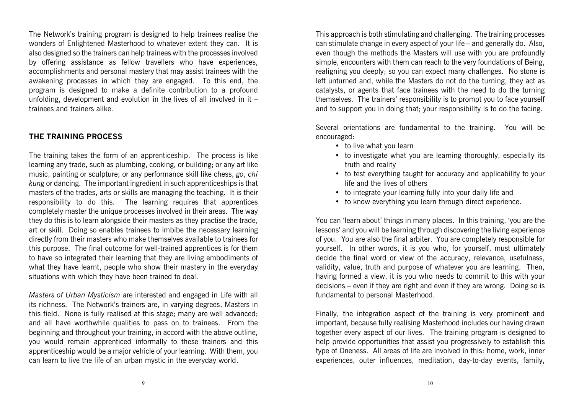The Network's training program is designed to help trainees realise the wonders of Enlightened Masterhood to whatever extent they can. It is also designed so the trainers can help trainees with the processes involved by offering assistance as fellow travellers who have experiences, accomplishments and personal mastery that may assist trainees with the awakening processes in which they are engaged. To this end, the program is designed to make a definite contribution to a profound unfolding, development and evolution in the lives of all involved in it  $$ trainees and trainers alike.

#### **THE TRAINING PROCESS**

The training takes the form of an apprenticeship. The process is like learning any trade, such as plumbing, cooking, or building; or any art like music, painting or sculpture; or any performance skill like chess, *go*, *chi kung* or dancing. The important ingredient in such apprenticeships is that masters of the trades, arts or skills are managing the teaching. It is their responsibility to do this. The learning requires that apprentices completely master the unique processes involved in their areas. The way they do this is to learn alongside their masters as they practise the trade, art or skill. Doing so enables trainees to imbibe the necessary learning directly from their masters who make themselves available to trainees for this purpose. The final outcome for well-trained apprentices is for them to have so integrated their learning that they are living embodiments of what they have learnt, people who show their mastery in the everyday situations with which they have been trained to deal.

*Masters of Urban Mysticism* are interested and engaged in Life with all its richness. The Network's trainers are, in varying degrees, Masters in this field. None is fully realised at this stage; many are well advanced; and all have worthwhile qualities to pass on to trainees. From the beginning and throughout your training, in accord with the above outline, you would remain apprenticed informally to these trainers and this apprenticeship would be a major vehicle of your learning. With them, you can learn to live the life of an urban mystic in the everyday world.

This approach is both stimulating and challenging. The training processes can stimulate change in every aspect of your life – and generally do. Also, even though the methods the Masters will use with you are profoundly simple, encounters with them can reach to the very foundations of Being, realigning you deeply; so you can expect many challenges. No stone is left unturned and, while the Masters do not do the turning, they act as catalysts, or agents that face trainees with the need to do the turning themselves. The trainers' responsibility is to prompt you to face yourself and to support you in doing that; your responsibility is to do the facing.

Several orientations are fundamental to the training. You will be encouraged:

- to live what you learn
- to investigate what you are learning thoroughly, especially its truth and reality
- to test everything taught for accuracy and applicability to your life and the lives of others
- to integrate your learning fully into your daily life and
- to know everything you learn through direct experience.

You can 'learn about' things in many places. In this training, 'you are the lessons' and you will be learning through discovering the living experience of you. You are also the final arbiter. You are completely responsible for yourself. In other words, it is you who, for yourself, must ultimately decide the final word or view of the accuracy, relevance, usefulness, validity, value, truth and purpose of whatever you are learning. Then, having formed a view, it is you who needs to commit to this with your decisions – even if they are right and even if they are wrong. Doing so is fundamental to personal Masterhood.

Finally, the integration aspect of the training is very prominent and important, because fully realising Masterhood includes our having drawn together every aspect of our lives. The training program is designed to help provide opportunities that assist you progressively to establish this type of Oneness. All areas of life are involved in this: home, work, inner experiences, outer influences, meditation, day-to-day events, family,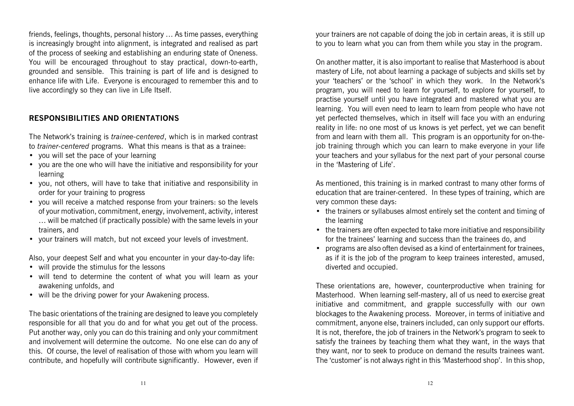friends, feelings, thoughts, personal history … As time passes, everything is increasingly brought into alignment, is integrated and realised as part of the process of seeking and establishing an enduring state of Oneness. You will be encouraged throughout to stay practical, down-to-earth, grounded and sensible. This training is part of life and is designed to enhance life with Life. Everyone is encouraged to remember this and to live accordingly so they can live in Life Itself.

#### **RESPONSIBILITIES AND ORIENTATIONS**

The Network's training is *trainee-centered*, which is in marked contrast to *trainer-centered* programs. What this means is that as a trainee:

- you will set the pace of your learning
- you are the one who will have the initiative and responsibility for your learning
- you, not others, will have to take that initiative and responsibility in order for your training to progress
- you will receive a matched response from your trainers: so the levels of your motivation, commitment, energy, involvement, activity, interest … will be matched (if practically possible) with the same levels in your trainers, and
- your trainers will match, but not exceed your levels of investment.

Also, your deepest Self and what you encounter in your day-to-day life:

- will provide the stimulus for the lessons
- will tend to determine the content of what you will learn as your awakening unfolds, and
- will be the driving power for your Awakening process.

The basic orientations of the training are designed to leave you completely responsible for all that you do and for what you get out of the process. Put another way, only you can do this training and only your commitment and involvement will determine the outcome. No one else can do any of this. Of course, the level of realisation of those with whom you learn will contribute, and hopefully will contribute significantly. However, even if your trainers are not capable of doing the job in certain areas, it is still up to you to learn what you can from them while you stay in the program.

On another matter, it is also important to realise that Masterhood is about mastery of Life, not about learning a package of subjects and skills set by your 'teachers' or the 'school' in which they work. In the Network's program, you will need to learn for yourself, to explore for yourself, to practise yourself until you have integrated and mastered what you are learning. You will even need to learn to learn from people who have not yet perfected themselves, which in itself will face you with an enduring reality in life: no one most of us knows is yet perfect, yet we can benefit from and learn with them all. This program is an opportunity for on-thejob training through which you can learn to make everyone in your life your teachers and your syllabus for the next part of your personal course in the 'Mastering of Life'.

As mentioned, this training is in marked contrast to many other forms of education that are trainer-centered. In these types of training, which are very common these days:

- the trainers or syllabuses almost entirely set the content and timing of the learning
- the trainers are often expected to take more initiative and responsibility for the trainees' learning and success than the trainees do, and
- programs are also often devised as a kind of entertainment for trainees, as if it is the job of the program to keep trainees interested, amused, diverted and occupied.

These orientations are, however, counterproductive when training for Masterhood. When learning self-mastery, all of us need to exercise great initiative and commitment, and grapple successfully with our own blockages to the Awakening process. Moreover, in terms of initiative and commitment, anyone else, trainers included, can only support our efforts. It is not, therefore, the job of trainers in the Network's program to seek to satisfy the trainees by teaching them what they want, in the ways that they want, nor to seek to produce on demand the results trainees want. The 'customer' is not always right in this 'Masterhood shop'. In this shop,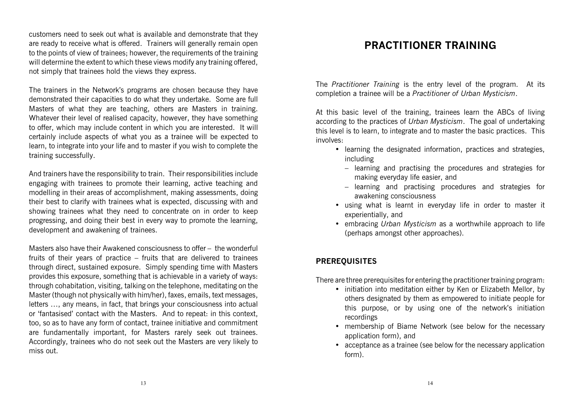customers need to seek out what is available and demonstrate that they are ready to receive what is offered. Trainers will generally remain open to the points of view of trainees; however, the requirements of the training will determine the extent to which these views modify any training offered. not simply that trainees hold the views they express.

The trainers in the Network's programs are chosen because they have demonstrated their capacities to do what they undertake. Some are full Masters of what they are teaching, others are Masters in training. Whatever their level of realised capacity, however, they have something to offer, which may include content in which you are interested. It will certainly include aspects of what you as a trainee will be expected to learn, to integrate into your life and to master if you wish to complete the training successfully.

And trainers have the responsibility to train. Their responsibilities include engaging with trainees to promote their learning, active teaching and modelling in their areas of accomplishment, making assessments, doing their best to clarify with trainees what is expected, discussing with and showing trainees what they need to concentrate on in order to keep progressing, and doing their best in every way to promote the learning, development and awakening of trainees.

Masters also have their Awakened consciousness to offer – the wonderful fruits of their years of practice – fruits that are delivered to trainees through direct, sustained exposure. Simply spending time with Masters provides this exposure, something that is achievable in a variety of ways: through cohabitation, visiting, talking on the telephone, meditating on the Master (though not physically with him/her), faxes, emails, text messages, letters …, any means, in fact, that brings your consciousness into actual or 'fantasised' contact with the Masters. And to repeat: in this context, too, so as to have any form of contact, trainee initiative and commitment are fundamentally important, for Masters rarely seek out trainees. Accordingly, trainees who do not seek out the Masters are very likely to miss out.

## **PRACTITIONER TRAINING**

The *Practitioner Training* is the entry level of the program. At its completion a trainee will be a *Practitioner of Urban Mysticism*.

At this basic level of the training, trainees learn the ABCs of living according to the practices of *Urban Mysticism*. The goal of undertaking this level is to learn, to integrate and to master the basic practices. This involves:

- learning the designated information, practices and strategies, including
	- learning and practising the procedures and strategies for making everyday life easier, and
	- learning and practising procedures and strategies for awakening consciousness
- using what is learnt in everyday life in order to master it experientially, and
- embracing *Urban Mysticism* as a worthwhile approach to life (perhaps amongst other approaches).

#### **PREREQUISITES**

There are three prerequisites for entering the practitioner training program:

- initiation into meditation either by Ken or Elizabeth Mellor, by others designated by them as empowered to initiate people for this purpose, or by using one of the network's initiation recordings
- membership of Biame Network (see below for the necessary application form), and
- acceptance as a trainee (see below for the necessary application form).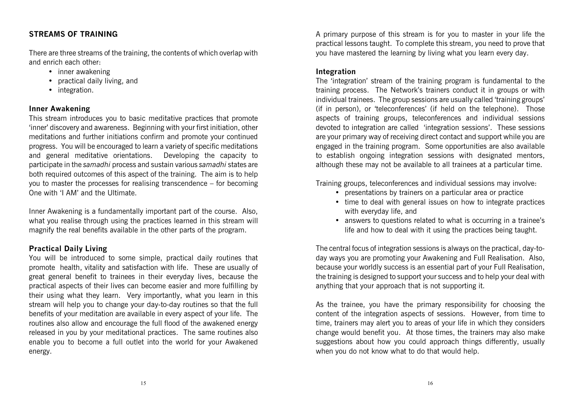#### **STREAMS OF TRAINING**

There are three streams of the training, the contents of which overlap with and enrich each other:

- inner awakening
- practical daily living, and
- integration.

#### **Inner Awakening**

This stream introduces you to basic meditative practices that promote 'inner' discovery and awareness. Beginning with your first initiation, other meditations and further initiations confirm and promote your continued progress. You will be encouraged to learn a variety of specific meditations and general meditative orientations. Developing the capacity to participate in the *samadhi* process and sustain various *samadhi* states are both required outcomes of this aspect of the training. The aim is to help you to master the processes for realising transcendence – for becoming One with 'I AM' and the Ultimate.

Inner Awakening is a fundamentally important part of the course. Also, what you realise through using the practices learned in this stream will magnify the real benefits available in the other parts of the program.

#### **Practical Daily Living**

You will be introduced to some simple, practical daily routines that promote health, vitality and satisfaction with life. These are usually of great general benefit to trainees in their everyday lives, because the practical aspects of their lives can become easier and more fulfilling by their using what they learn. Very importantly, what you learn in this stream will help you to change your day-to-day routines so that the full benefits of your meditation are available in every aspect of your life. The routines also allow and encourage the full flood of the awakened energy released in you by your meditational practices. The same routines also enable you to become a full outlet into the world for your Awakened energy.

A primary purpose of this stream is for you to master in your life the practical lessons taught. To complete this stream, you need to prove that you have mastered the learning by living what you learn every day.

#### **Integration**

The 'integration' stream of the training program is fundamental to the training process. The Network's trainers conduct it in groups or with individual trainees. The group sessions are usually called 'training groups' (if in person), or 'teleconferences' (if held on the telephone). Those aspects of training groups, teleconferences and individual sessions devoted to integration are called 'integration sessions'. These sessions are your primary way of receiving direct contact and support while you are engaged in the training program. Some opportunities are also available to establish ongoing integration sessions with designated mentors, although these may not be available to all trainees at a particular time.

Training groups, teleconferences and individual sessions may involve:

- presentations by trainers on a particular area or practice
- time to deal with general issues on how to integrate practices with everyday life, and
- answers to questions related to what is occurring in a trainee's life and how to deal with it using the practices being taught.

The central focus of integration sessions is always on the practical, day-today ways you are promoting your Awakening and Full Realisation. Also, because your worldly success is an essential part of your Full Realisation, the training is designed to support your success and to help your deal with anything that your approach that is not supporting it.

As the trainee, you have the primary responsibility for choosing the content of the integration aspects of sessions. However, from time to time, trainers may alert you to areas of your life in which they considers change would benefit you. At those times, the trainers may also make suggestions about how you could approach things differently, usually when you do not know what to do that would help.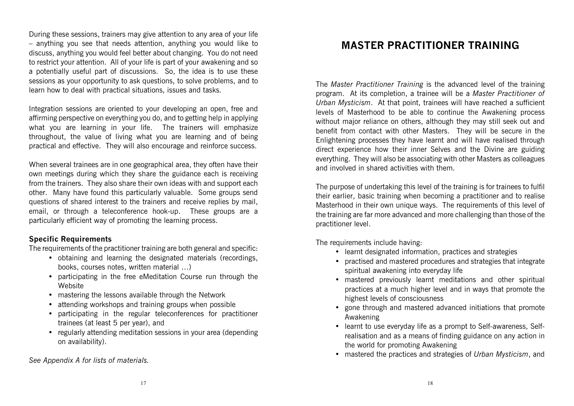During these sessions, trainers may give attention to any area of your life – anything you see that needs attention, anything you would like to discuss, anything you would feel better about changing. You do not need to restrict your attention. All of your life is part of your awakening and so a potentially useful part of discussions. So, the idea is to use these sessions as your opportunity to ask questions, to solve problems, and to learn how to deal with practical situations, issues and tasks.

Integration sessions are oriented to your developing an open, free and affirming perspective on everything you do, and to getting help in applying what you are learning in your life. The trainers will emphasize throughout, the value of living what you are learning and of being practical and effective. They will also encourage and reinforce success.

When several trainees are in one geographical area, they often have their own meetings during which they share the guidance each is receiving from the trainers. They also share their own ideas with and support each other. Many have found this particularly valuable. Some groups send questions of shared interest to the trainers and receive replies by mail, email, or through a teleconference hook-up. These groups are a particularly efficient way of promoting the learning process.

#### **Specific Requirements**

The requirements of the practitioner training are both general and specific:

- obtaining and learning the designated materials (recordings, books, courses notes, written material …)
- participating in the free eMeditation Course run through the Website
- mastering the lessons available through the Network
- attending workshops and training groups when possible
- participating in the regular teleconferences for practitioner trainees (at least 5 per year), and
- regularly attending meditation sessions in your area (depending on availability).

*See Appendix A for lists of materials.*

# **MASTER PRACTITIONER TRAINING**

The *Master Practitioner Training* is the advanced level of the training program. At its completion, a trainee will be a *Master Practitioner of Urban Mysticism*. At that point, trainees will have reached a sufficient levels of Masterhood to be able to continue the Awakening process without major reliance on others, although they may still seek out and benefit from contact with other Masters. They will be secure in the Enlightening processes they have learnt and will have realised through direct experience how their inner Selves and the Divine are guiding everything. They will also be associating with other Masters as colleagues and involved in shared activities with them.

The purpose of undertaking this level of the training is for trainees to fulfil their earlier, basic training when becoming a practitioner and to realise Masterhood in their own unique ways. The requirements of this level of the training are far more advanced and more challenging than those of the practitioner level.

The requirements include having:

- learnt designated information, practices and strategies
- practised and mastered procedures and strategies that integrate spiritual awakening into everyday life
- mastered previously learnt meditations and other spiritual practices at a much higher level and in ways that promote the highest levels of consciousness
- gone through and mastered advanced initiations that promote Awakening
- learnt to use everyday life as a prompt to Self-awareness, Selfrealisation and as a means of finding guidance on any action in the world for promoting Awakening
- mastered the practices and strategies of *Urban Mysticism*, and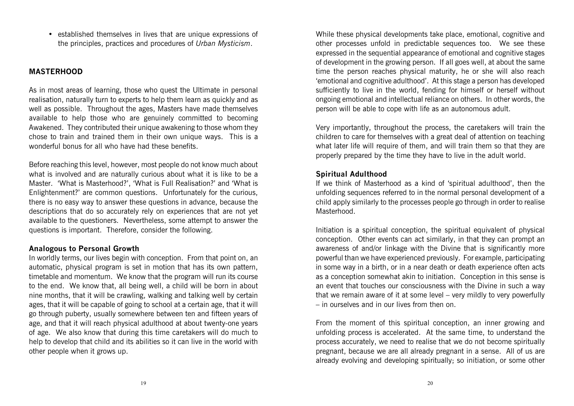• established themselves in lives that are unique expressions of the principles, practices and procedures of *Urban Mysticism*.

#### **MASTERHOOD**

As in most areas of learning, those who quest the Ultimate in personal realisation, naturally turn to experts to help them learn as quickly and as well as possible. Throughout the ages, Masters have made themselves available to help those who are genuinely committed to becoming Awakened. They contributed their unique awakening to those whom they chose to train and trained them in their own unique ways. This is a wonderful bonus for all who have had these benefits.

Before reaching this level, however, most people do not know much about what is involved and are naturally curious about what it is like to be a Master. 'What is Masterhood?', 'What is Full Realisation?' and 'What is Enlightenment?' are common questions. Unfortunately for the curious, there is no easy way to answer these questions in advance, because the descriptions that do so accurately rely on experiences that are not yet available to the questioners. Nevertheless, some attempt to answer the questions is important. Therefore, consider the following.

#### **Analogous to Personal Growth**

In worldly terms, our lives begin with conception. From that point on, an automatic, physical program is set in motion that has its own pattern, timetable and momentum. We know that the program will run its course to the end. We know that, all being well, a child will be born in about nine months, that it will be crawling, walking and talking well by certain ages, that it will be capable of going to school at a certain age, that it will go through puberty, usually somewhere between ten and fifteen years of age, and that it will reach physical adulthood at about twenty-one years of age. We also know that during this time caretakers will do much to help to develop that child and its abilities so it can live in the world with other people when it grows up.

While these physical developments take place, emotional, cognitive and other processes unfold in predictable sequences too. We see these expressed in the sequential appearance of emotional and cognitive stages of development in the growing person. If all goes well, at about the same time the person reaches physical maturity, he or she will also reach 'emotional and cognitive adulthood'. At this stage a person has developed sufficiently to live in the world, fending for himself or herself without ongoing emotional and intellectual reliance on others. In other words, the person will be able to cope with life as an autonomous adult.

Very importantly, throughout the process, the caretakers will train the children to care for themselves with a great deal of attention on teaching what later life will require of them, and will train them so that they are properly prepared by the time they have to live in the adult world.

#### **Spiritual Adulthood**

If we think of Masterhood as a kind of 'spiritual adulthood', then the unfolding sequences referred to in the normal personal development of a child apply similarly to the processes people go through in order to realise Masterhood.

Initiation is a spiritual conception, the spiritual equivalent of physical conception. Other events can act similarly, in that they can prompt an awareness of and/or linkage with the Divine that is significantly more powerful than we have experienced previously. For example, participating in some way in a birth, or in a near death or death experience often acts as a conception somewhat akin to initiation. Conception in this sense is an event that touches our consciousness with the Divine in such a way that we remain aware of it at some level – very mildly to very powerfully – in ourselves and in our lives from then on.

From the moment of this spiritual conception, an inner growing and unfolding process is accelerated. At the same time, to understand the process accurately, we need to realise that we do not become spiritually pregnant, because we are all already pregnant in a sense. All of us are already evolving and developing spiritually; so initiation, or some other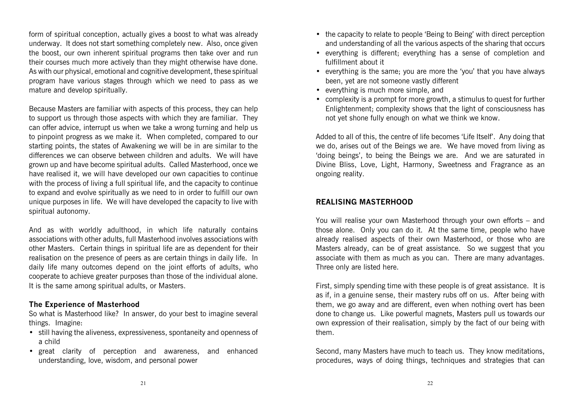form of spiritual conception, actually gives a boost to what was already underway. It does not start something completely new. Also, once given the boost, our own inherent spiritual programs then take over and run their courses much more actively than they might otherwise have done. As with our physical, emotional and cognitive development, these spiritual program have various stages through which we need to pass as we mature and develop spiritually.

Because Masters are familiar with aspects of this process, they can help to support us through those aspects with which they are familiar. They can offer advice, interrupt us when we take a wrong turning and help us to pinpoint progress as we make it. When completed, compared to our starting points, the states of Awakening we will be in are similar to the differences we can observe between children and adults. We will have grown up and have become spiritual adults. Called Masterhood, once we have realised it, we will have developed our own capacities to continue with the process of living a full spiritual life, and the capacity to continue to expand and evolve spiritually as we need to in order to fulfill our own unique purposes in life. We will have developed the capacity to live with spiritual autonomy.

And as with worldly adulthood, in which life naturally contains associations with other adults, full Masterhood involves associations with other Masters. Certain things in spiritual life are as dependent for their realisation on the presence of peers as are certain things in daily life. In daily life many outcomes depend on the joint efforts of adults, who cooperate to achieve greater purposes than those of the individual alone. It is the same among spiritual adults, or Masters.

#### **The Experience of Masterhood**

So what is Masterhood like? In answer, do your best to imagine several things. Imagine:

- still having the aliveness, expressiveness, spontaneity and openness of a child
- great clarity of perception and awareness, and enhanced understanding, love, wisdom, and personal power
- the capacity to relate to people 'Being to Being' with direct perception and understanding of all the various aspects of the sharing that occurs
- everything is different; everything has a sense of completion and fulfillment about it
- everything is the same; you are more the 'you' that you have always been, yet are not someone vastly different
- everything is much more simple, and
- complexity is a prompt for more growth, a stimulus to quest for further Enlightenment; complexity shows that the light of consciousness has not yet shone fully enough on what we think we know.

Added to all of this, the centre of life becomes 'Life Itself'. Any doing that we do, arises out of the Beings we are. We have moved from living as 'doing beings', to being the Beings we are. And we are saturated in Divine Bliss, Love, Light, Harmony, Sweetness and Fragrance as an ongoing reality.

#### **REALISING MASTERHOOD**

You will realise your own Masterhood through your own efforts – and those alone. Only you can do it. At the same time, people who have already realised aspects of their own Masterhood, or those who are Masters already, can be of great assistance. So we suggest that you associate with them as much as you can. There are many advantages. Three only are listed here.

First, simply spending time with these people is of great assistance. It is as if, in a genuine sense, their mastery rubs off on us. After being with them, we go away and are different, even when nothing overt has been done to change us. Like powerful magnets, Masters pull us towards our own expression of their realisation, simply by the fact of our being with them.

Second, many Masters have much to teach us. They know meditations, procedures, ways of doing things, techniques and strategies that can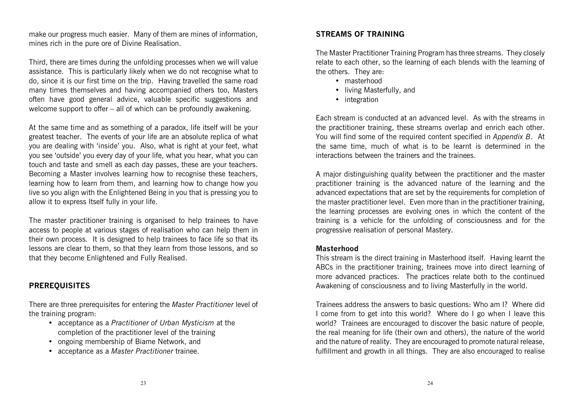make our progress much easier. Many of them are mines of information, mines rich in the pure ore of Divine Realisation.

Third, there are times during the unfolding processes when we will value assistance. This is particularly likely when we do not recognise what to do, since it is our first time on the trip. Having travelled the same road many times themselves and having accompanied others too, Masters often have good general advice, valuable specific suggestions and welcome support to offer – all of which can be profoundly awakening.

At the same time and as something of a paradox, life itself will be your greatest teacher. The events of your life are an absolute replica of what you are dealing with 'inside' you. Also, what is right at your feet, what you see 'outside' you every day of your life, what you hear, what you can touch and taste and smell as each day passes, these are your teachers. Becoming a Master involves learning how to recognise these teachers, learning how to learn from them, and learning how to change how you live so you align with the Enlightened Being in you that is pressing you to allow it to express Itself fully in your life.

The master practitioner training is organised to help trainees to have access to people at various stages of realisation who can help them in their own process. It is designed to help trainees to face life so that its lessons are clear to them, so that they learn from those lessons, and so that they become Enlightened and Fully Realised.

#### **PREREQUISITES**

There are three prerequisites for entering the *Master Practitioner* level of the training program:

- acceptance as a *Practitioner of Urban Mysticism* at the completion of the practitioner level of the training
- ongoing membership of Biame Network, and
- acceptance as a *Master Practitioner* trainee.

#### **STREAMS OF TRAINING**

The Master Practitioner Training Program has three streams. They closely relate to each other, so the learning of each blends with the learning of the others. They are:

- masterhood
- living Masterfully, and
- integration

Each stream is conducted at an advanced level. As with the streams in the practitioner training, these streams overlap and enrich each other. You will find some of the required content specified in *Appendix B*. At the same time, much of what is to be learnt is determined in the interactions between the trainers and the trainees.

A major distinguishing quality between the practitioner and the master practitioner training is the advanced nature of the learning and the advanced expectations that are set by the requirements for completion of the master practitioner level. Even more than in the practitioner training, the learning processes are evolving ones in which the content of the training is a vehicle for the unfolding of consciousness and for the progressive realisation of personal Mastery.

#### **Masterhood**

This stream is the direct training in Masterhood itself. Having learnt the ABCs in the practitioner training, trainees move into direct learning of more advanced practices. The practices relate both to the continued Awakening of consciousness and to living Masterfully in the world.

Trainees address the answers to basic questions: Who am I? Where did I come from to get into this world? Where do I go when I leave this world? Trainees are encouraged to discover the basic nature of people, the real meaning for life (their own and others), the nature of the world and the nature of reality. They are encouraged to promote natural release, fulfillment and growth in all things. They are also encouraged to realise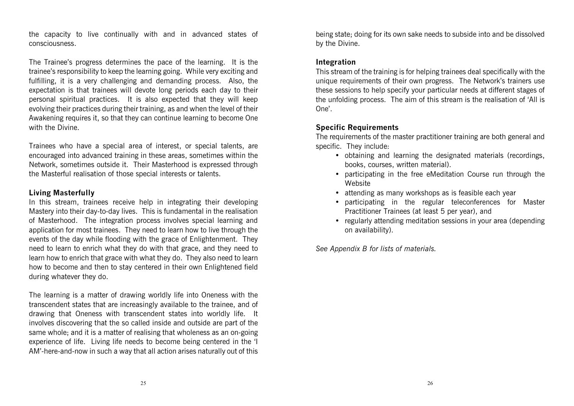the capacity to live continually with and in advanced states of consciousness.

The Trainee's progress determines the pace of the learning. It is the trainee's responsibility to keep the learning going. While very exciting and fulfilling, it is a very challenging and demanding process. Also, the expectation is that trainees will devote long periods each day to their personal spiritual practices. It is also expected that they will keep evolving their practices during their training, as and when the level of their Awakening requires it, so that they can continue learning to become One with the Divine.

Trainees who have a special area of interest, or special talents, are encouraged into advanced training in these areas, sometimes within the Network, sometimes outside it. Their Masterhood is expressed through the Masterful realisation of those special interests or talents.

#### **Living Masterfully**

In this stream, trainees receive help in integrating their developing Mastery into their day-to-day lives. This is fundamental in the realisation of Masterhood. The integration process involves special learning and application for most trainees. They need to learn how to live through the events of the day while flooding with the grace of Enlightenment. They need to learn to enrich what they do with that grace, and they need to learn how to enrich that grace with what they do. They also need to learn how to become and then to stay centered in their own Enlightened field during whatever they do.

The learning is a matter of drawing worldly life into Oneness with the transcendent states that are increasingly available to the trainee, and of drawing that Oneness with transcendent states into worldly life. It involves discovering that the so called inside and outside are part of the same whole; and it is a matter of realising that wholeness as an on-going experience of life. Living life needs to become being centered in the 'I AM'-here-and-now in such a way that all action arises naturally out of this

being state; doing for its own sake needs to subside into and be dissolved by the Divine.

#### **Integration**

This stream of the training is for helping trainees deal specifically with the unique requirements of their own progress. The Network's trainers use these sessions to help specify your particular needs at different stages of the unfolding process. The aim of this stream is the realisation of 'All is One'.

#### **Specific Requirements**

The requirements of the master practitioner training are both general and specific. They include:

- obtaining and learning the designated materials (recordings, books, courses, written material).
- participating in the free eMeditation Course run through the **Website**
- attending as many workshops as is feasible each year
- participating in the regular teleconferences for Master Practitioner Trainees (at least 5 per year), and
- regularly attending meditation sessions in your area (depending on availability).

*See Appendix B for lists of materials.*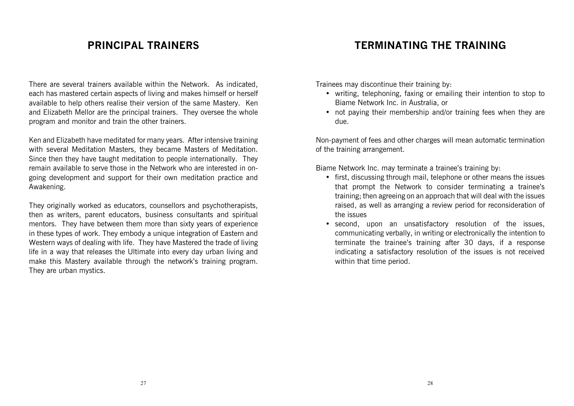## **PRINCIPAL TRAINERS**

There are several trainers available within the Network. As indicated, each has mastered certain aspects of living and makes himself or herself available to help others realise their version of the same Mastery. Ken and Elizabeth Mellor are the principal trainers. They oversee the whole program and monitor and train the other trainers.

Ken and Elizabeth have meditated for many years. After intensive training with several Meditation Masters, they became Masters of Meditation. Since then they have taught meditation to people internationally. They remain available to serve those in the Network who are interested in ongoing development and support for their own meditation practice and Awakening.

They originally worked as educators, counsellors and psychotherapists, then as writers, parent educators, business consultants and spiritual mentors. They have between them more than sixty years of experience in these types of work. They embody a unique integration of Eastern and Western ways of dealing with life. They have Mastered the trade of living life in a way that releases the Ultimate into every day urban living and make this Mastery available through the network's training program. They are urban mystics.

### **TERMINATING THE TRAINING**

Trainees may discontinue their training by:

- writing, telephoning, faxing or emailing their intention to stop to Biame Network Inc. in Australia, or
- not paying their membership and/or training fees when they are due.

Non-payment of fees and other charges will mean automatic termination of the training arrangement.

Biame Network Inc. may terminate a trainee's training by:

- first, discussing through mail, telephone or other means the issues that prompt the Network to consider terminating a trainee's training; then agreeing on an approach that will deal with the issues raised, as well as arranging a review period for reconsideration of the issues
- second, upon an unsatisfactory resolution of the issues, communicating verbally, in writing or electronically the intention to terminate the trainee's training after 30 days, if a response indicating a satisfactory resolution of the issues is not received within that time period.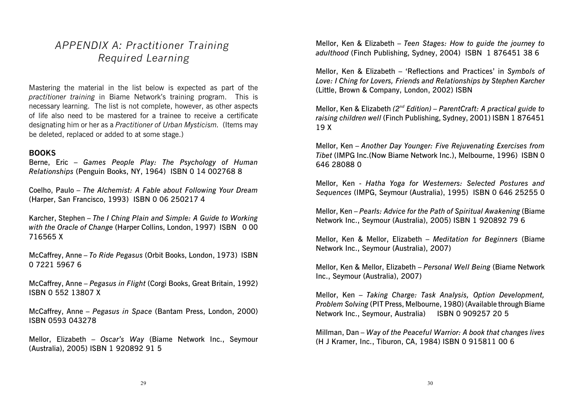# *APPENDIX A: Practitioner Training Required Learning*

Mastering the material in the list below is expected as part of the *practitioner training* in Biame Network's training program. This is necessary learning. The list is not complete, however, as other aspects of life also need to be mastered for a trainee to receive a certificate designating him or her as a *Practitioner of Urban Mysticism.* (Items may be deleted, replaced or added to at some stage.)

#### **BOOKS**

Berne, Eric – *Games People Play: The Psychology of Human Relationships* (Penguin Books, NY, 1964) ISBN 0 14 002768 8

Coelho, Paulo – *The Alchemist: A Fable about Following Your Dream* (Harper, San Francisco, 1993) ISBN 0 06 250217 4

Karcher, Stephen – *The I Ching Plain and Simple: A Guide to Working* with the Oracle of Change (Harper Collins, London, 1997) ISBN 000 716565 X

McCaffrey, Anne – *To Ride Pegasus* (Orbit Books, London, 1973) ISBN 0 7221 5967 6

McCaffrey, Anne – *Pegasus in Flight* (Corgi Books, Great Britain, 1992) ISBN 0 552 13807 X

McCaffrey, Anne – *Pegasus in Space* (Bantam Press, London, 2000) ISBN 0593 043278

Mellor, Elizabeth – *Oscar's Way* (Biame Network Inc., Seymour (Australia), 2005) ISBN 1 920892 91 5

Mellor, Ken & Elizabeth – *Teen Stages: How to guide the journey to adulthood* (Finch Publishing, Sydney, 2004) ISBN 1 876451 38 6

Mellor, Ken & Elizabeth – 'Reflections and Practices' in *Symbols of Love: I Ching for Lovers, Friends and Relationships by Stephen Karcher* (Little, Brown & Company, London, 2002) ISBN

Mellor, Ken & Elizabeth (2<sup>nd</sup> Edition) – ParentCraft: A practical guide to *raising children well* (Finch Publishing, Sydney, 2001) ISBN 1 876451 19 X

Mellor, Ken – *Another Day Younger: Five Rejuvenating Exercises from Tibet* (IMPG Inc.(Now Biame Network Inc.), Melbourne, 1996) ISBN 0 646 28088 0

Mellor, Ken - *Hatha Yoga for Westerners: Selected Postures and Sequences* (IMPG, Seymour (Australia), 1995) ISBN 0 646 25255 0

Mellor, Ken – *Pearls: Advice for the Path of Spiritual Awakening* (Biame Network Inc., Seymour (Australia), 2005) ISBN 1 920892 79 6

Mellor, Ken & Mellor, Elizabeth – *Meditation for Beginners* (Biame Network Inc., Seymour (Australia), 2007)

Mellor, Ken & Mellor, Elizabeth – *Personal Well Being* (Biame Network Inc., Seymour (Australia), 2007)

Mellor, Ken – *Taking Charge: Task Analysis, Option Development, Problem Solving* (PIT Press, Melbourne, 1980) (Available through Biame Network Inc., Seymour, Australia) ISBN 0 909257 20 5

Millman, Dan – *Way of the Peaceful Warrior: A book that changes lives* (H J Kramer, Inc., Tiburon, CA, 1984) ISBN 0 915811 00 6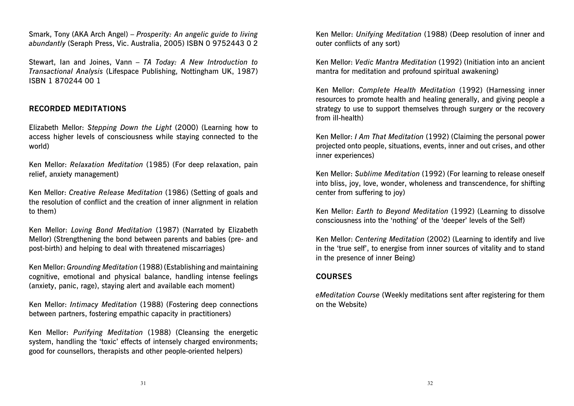Smark, Tony (AKA Arch Angel) – *Prosperity: An angelic guide to living abundantly* (Seraph Press, Vic. Australia, 2005) ISBN 0 9752443 0 2

Stewart, Ian and Joines, Vann – *TA Today: A New Introduction to Transactional Analysis* (Lifespace Publishing, Nottingham UK, 1987) ISBN 1 870244 00 1

#### **RECORDED MEDITATIONS**

Elizabeth Mellor: *Stepping Down the Light* (2000) (Learning how to access higher levels of consciousness while staying connected to the world)

Ken Mellor: *Relaxation Meditation* (1985) (For deep relaxation, pain relief, anxiety management)

Ken Mellor: *Creative Release Meditation* (1986) (Setting of goals and the resolution of conflict and the creation of inner alignment in relation to them)

Ken Mellor: *Loving Bond Meditation* (1987) (Narrated by Elizabeth Mellor) (Strengthening the bond between parents and babies (pre- and post-birth) and helping to deal with threatened miscarriages)

Ken Mellor: *Grounding Meditation* (1988) (Establishing and maintaining cognitive, emotional and physical balance, handling intense feelings (anxiety, panic, rage), staying alert and available each moment)

Ken Mellor: *Intimacy Meditation* (1988) (Fostering deep connections between partners, fostering empathic capacity in practitioners)

Ken Mellor: *Purifying Meditation* (1988) (Cleansing the energetic system, handling the 'toxic' effects of intensely charged environments; good for counsellors, therapists and other people-oriented helpers)

Ken Mellor: *Unifying Meditation* (1988) (Deep resolution of inner and outer conflicts of any sort)

Ken Mellor: *Vedic Mantra Meditation* (1992) (Initiation into an ancient mantra for meditation and profound spiritual awakening)

Ken Mellor: *Complete Health Meditation* (1992) (Harnessing inner resources to promote health and healing generally, and giving people a strategy to use to support themselves through surgery or the recovery from ill-health)

Ken Mellor: *I Am That Meditation* (1992) (Claiming the personal power projected onto people, situations, events, inner and out crises, and other inner experiences)

Ken Mellor: *Sublime Meditation* (1992) (For learning to release oneself into bliss, joy, love, wonder, wholeness and transcendence, for shifting center from suffering to joy)

Ken Mellor: *Earth to Beyond Meditation* (1992) (Learning to dissolve consciousness into the 'nothing' of the 'deeper' levels of the Self)

Ken Mellor: *Centering Meditation* (2002) (Learning to identify and live in the 'true self', to energise from inner sources of vitality and to stand in the presence of inner Being)

#### **COURSES**

*eMeditation Course* (Weekly meditations sent after registering for them on the Website)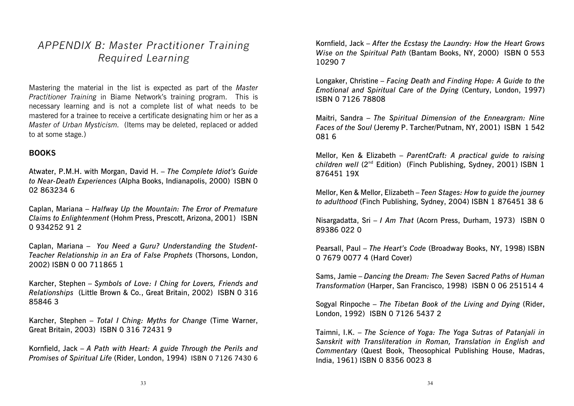# *APPENDIX B: Master Practitioner Training Required Learning*

Mastering the material in the list is expected as part of the *Master Practitioner Training* in Biame Network's training program. This is necessary learning and is not a complete list of what needs to be mastered for a trainee to receive a certificate designating him or her as a *Master of Urban Mysticism.* (Items may be deleted, replaced or added to at some stage.)

#### **BOOKS**

Atwater, P.M.H. with Morgan, David H. – *The Complete Idiot's Guide to Near-Death Experiences* (Alpha Books, Indianapolis, 2000) ISBN 0 02 863234 6

Caplan, Mariana – *Halfway Up the Mountain: The Error of Premature Claims to Enlightenment* (Hohm Press, Prescott, Arizona, 2001) ISBN 0 934252 91 2

Caplan, Mariana – *You Need a Guru? Understanding the Student-Teacher Relationship in an Era of False Prophets* (Thorsons, London, 2002) ISBN 0 00 711865 1

Karcher, Stephen – *Symbols of Love: I Ching for Lovers, Friends and Relationships* (Little Brown & Co., Great Britain, 2002) ISBN 0 316 85846 3

Karcher, Stephen – *Total I Ching: Myths for Change* (Time Warner, Great Britain, 2003) ISBN 0 316 72431 9

Kornfield, Jack – *A Path with Heart: A guide Through the Perils and Promises of Spiritual Life* (Rider, London, 1994) ISBN 0 7126 7430 6

Kornfield, Jack – *After the Ecstasy the Laundry: How the Heart Grows Wise on the Spiritual Path* (Bantam Books, NY, 2000) ISBN 0 553 10290 7

Longaker, Christine – *Facing Death and Finding Hope: A Guide to the Emotional and Spiritual Care of the Dying* (Century, London, 1997) ISBN 0 7126 78808

Maitri, Sandra – *The Spiritual Dimension of the Enneargram: Nine Faces of the Soul* (Jeremy P. Tarcher/Putnam, NY, 2001) ISBN 1 542 081 6

Mellor, Ken & Elizabeth – *ParentCraft: A practical guide to raising children well* (2<sup>nd</sup> Edition) (Finch Publishing, Sydney, 2001) ISBN 1 876451 19X

Mellor, Ken & Mellor, Elizabeth – *Teen Stages: How to guide the journey to adulthood* (Finch Publishing, Sydney, 2004) ISBN 1 876451 38 6

Nisargadatta, Sri – *I Am That* (Acorn Press, Durham, 1973) ISBN 0 89386 022 0

Pearsall, Paul – *The Heart's Code* (Broadway Books, NY, 1998) ISBN 0 7679 0077 4 (Hard Cover)

Sams, Jamie – *Dancing the Dream: The Seven Sacred Paths of Human Transformation* (Harper, San Francisco, 1998) ISBN 0 06 251514 4

Sogyal Rinpoche – *The Tibetan Book of the Living and Dying* (Rider, London, 1992) ISBN 0 7126 5437 2

Taimni, I.K. – *The Science of Yoga: The Yoga Sutras of Patanjali in Sanskrit with Transliteration in Roman, Translation in English and Commentary* (Quest Book, Theosophical Publishing House, Madras, India, 1961) ISBN 0 8356 0023 8